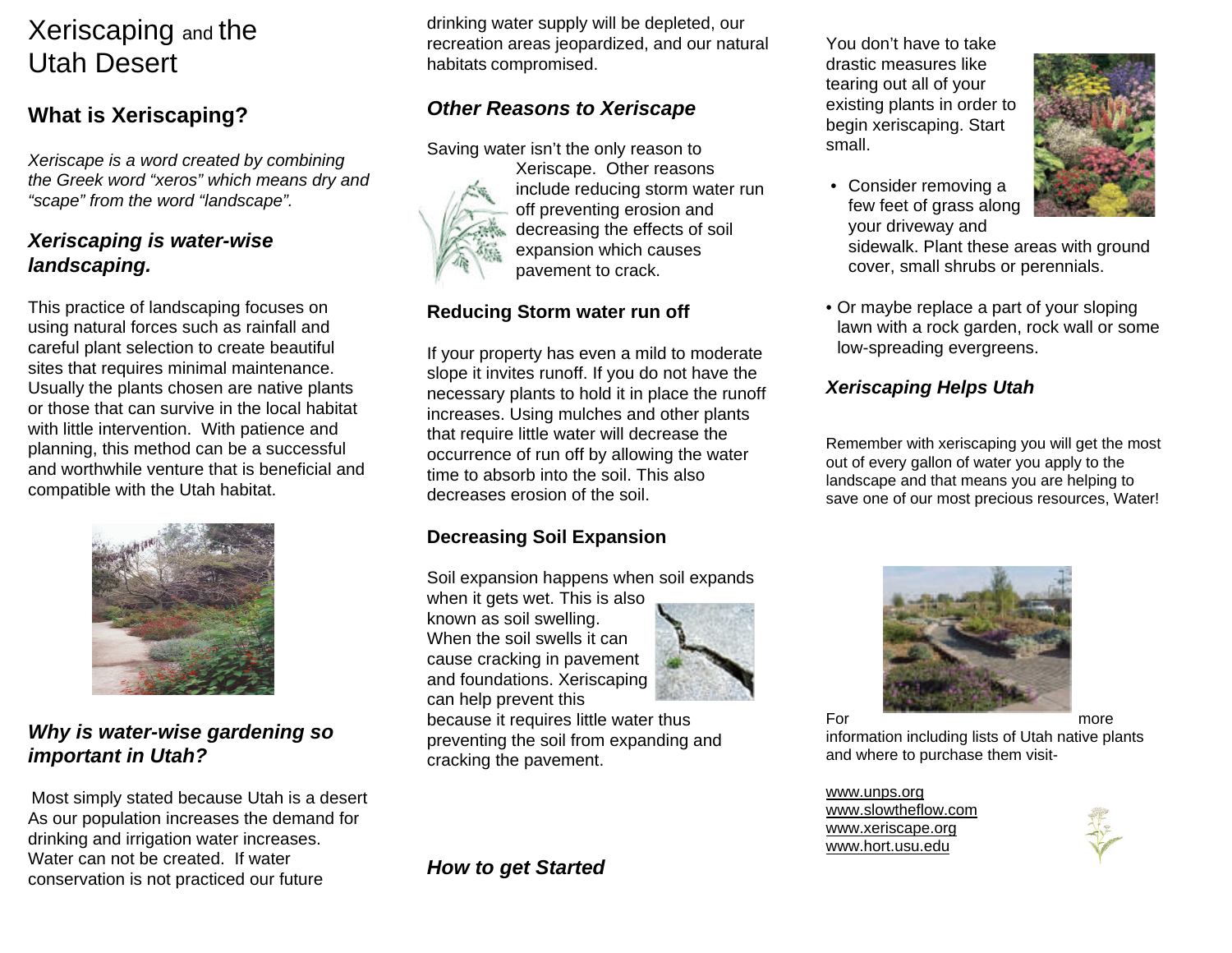## Xeriscaping and the Utah Desert

### **What is Xeriscaping?**

*Xeriscape is a word created by combining the Greek word "xeros" which means dry and "scape" from the word "landscape".*

#### *Xeriscaping is water-wise landscaping.*

This practice of landscaping focuses on using natural forces such as rainfall and careful plant selection to create beautiful sites that requires minimal maintenance. Usually the plants chosen are native plants or those that can survive in the local habitatwith little intervention. With patience and planning, this method can be a successful and worthwhile venture that is beneficial andcompatible with the Utah habitat.



#### *Why is water-wise gardening so important in Utah?*

Most simply stated because Utah is a desert As our population increases the demand for drinking and irrigation water increases. Water can not be created. If waterconservation is not practiced our future

drinking water supply will be depleted, our recreation areas jeopardized, and our natural habitats compromised.

#### *Other Reasons to Xeriscape*

Saving water isn't the only reason to



Xeriscape. Other reasons include reducing storm water run off preventing erosion and decreasing the effects of soil expansion which causes pavement to crack.

#### **Reducing Storm water run off**

If your property has even a mild to moderate slope it invites runoff. If you do not have the necessary plants to hold it in place the runoff increases. Using mulches and other plants that require little water will decrease the occurrence of run off by allowing the water time to absorb into the soil. This alsodecreases erosion of the soil.

#### **Decreasing Soil Expansion**

Soil expansion happens when soil expands

when it gets wet. This is also known as soil swelling. When the soil swells it cancause cracking in pavement and foundations. Xeriscaping can help prevent this



because it requires little water thus preventing the soil from expanding and cracking the pavement.

*How to get Started*

You don't have to takedrastic measures like tearing out all of your existing plants in order to begin xeriscaping. Start small.



- Consider removing a few feet of grass along your driveway and sidewalk. Plant these areas with ground cover, small shrubs or perennials.
- Or maybe replace a part of your sloping lawn with a rock garden, rock wall or some low-spreading evergreens.

#### *Xeriscaping Helps Utah*

Remember with xeriscaping you will get the most out of every gallon of water you apply to the landscape and that means you are helping to save one of our most precious resources, Water!



information including lists of Utah native plants and where to purchase them visit-

www.unps.org www.slowtheflow.comwww.xeriscape.org www.hort.usu.edu